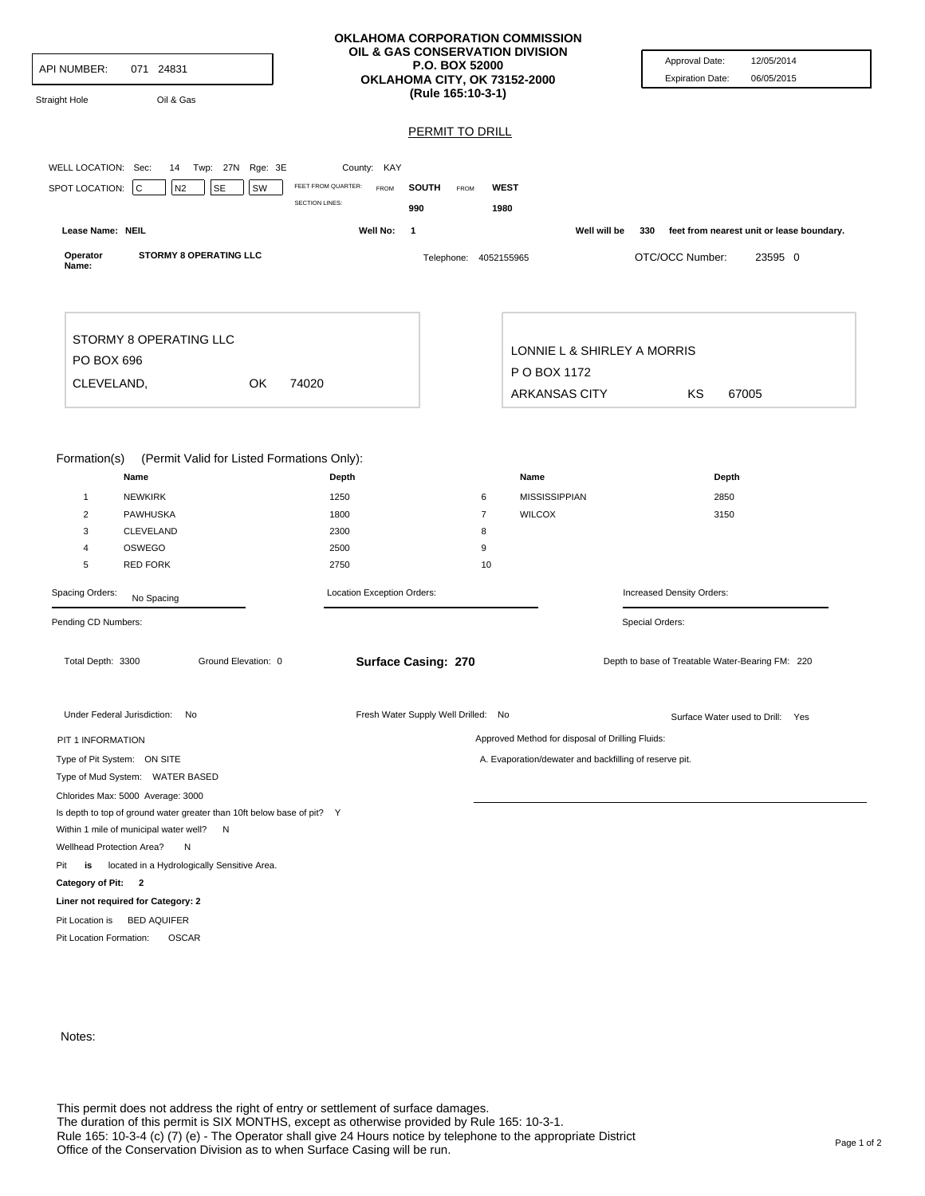| API NUMBER:<br>071 24831<br>Oil & Gas<br><b>Straight Hole</b>                                                                                                                                                          | OKLAHOMA CORPORATION COMMISSION<br>OIL & GAS CONSERVATION DIVISION<br>P.O. BOX 52000<br>OKLAHOMA CITY, OK 73152-2000<br>(Rule 165:10-3-1) |                                                    |                                               | Approval Date:<br><b>Expiration Date:</b>          | 12/05/2014<br>06/05/2015                  |
|------------------------------------------------------------------------------------------------------------------------------------------------------------------------------------------------------------------------|-------------------------------------------------------------------------------------------------------------------------------------------|----------------------------------------------------|-----------------------------------------------|----------------------------------------------------|-------------------------------------------|
|                                                                                                                                                                                                                        |                                                                                                                                           | <b>PERMIT TO DRILL</b>                             |                                               |                                                    |                                           |
|                                                                                                                                                                                                                        |                                                                                                                                           |                                                    |                                               |                                                    |                                           |
| WELL LOCATION: Sec:<br>14 Twp: 27N Rge: 3E<br>SPOT LOCATION:<br>$\mathbf C$<br>N2<br><b>SE</b><br>SW                                                                                                                   | County: KAY<br>FEET FROM QUARTER:<br>FROM<br><b>SECTION LINES:</b>                                                                        | <b>SOUTH</b><br><b>WEST</b><br>FROM<br>990<br>1980 |                                               |                                                    |                                           |
| Lease Name: NEIL                                                                                                                                                                                                       | Well No:<br>1                                                                                                                             |                                                    | Well will be                                  | 330                                                | feet from nearest unit or lease boundary. |
| <b>STORMY 8 OPERATING LLC</b><br>Operator<br>Name:                                                                                                                                                                     |                                                                                                                                           | Telephone: 4052155965                              |                                               | OTC/OCC Number:                                    | 23595 0                                   |
| STORMY 8 OPERATING LLC<br>PO BOX 696                                                                                                                                                                                   |                                                                                                                                           |                                                    | LONNIE L & SHIRLEY A MORRIS<br>P O BOX 1172   |                                                    |                                           |
| CLEVELAND,<br><b>OK</b><br>74020                                                                                                                                                                                       |                                                                                                                                           |                                                    | <b>ARKANSAS CITY</b><br>ΚS<br>67005           |                                                    |                                           |
| Formation(s)<br>(Permit Valid for Listed Formations Only):<br>Name<br><b>NEWKIRK</b><br>$\mathbf{1}$<br>2<br><b>PAWHUSKA</b><br>CLEVELAND<br>3<br>OSWEGO<br>4<br><b>RED FORK</b><br>5<br>Spacing Orders:<br>No Spacing | Depth<br>1250<br>1800<br>2300<br>2500<br>2750<br>Location Exception Orders:                                                               | 6<br>$\overline{7}$<br>8<br>9<br>10                | Name<br><b>MISSISSIPPIAN</b><br><b>WILCOX</b> | Depth<br>2850<br>3150<br>Increased Density Orders: |                                           |
| Pending CD Numbers:                                                                                                                                                                                                    |                                                                                                                                           |                                                    |                                               | Special Orders:                                    |                                           |
| Total Depth: 3300<br>Ground Elevation: 0                                                                                                                                                                               | <b>Surface Casing: 270</b>                                                                                                                |                                                    |                                               | Depth to base of Treatable Water-Bearing FM: 220   |                                           |
| Under Federal Jurisdiction: No                                                                                                                                                                                         |                                                                                                                                           | Fresh Water Supply Well Drilled: No                |                                               |                                                    | Surface Water used to Drill: Yes          |
| Approved Method for disposal of Drilling Fluids:<br>PIT 1 INFORMATION                                                                                                                                                  |                                                                                                                                           |                                                    |                                               |                                                    |                                           |
| Type of Pit System: ON SITE<br>A. Evaporation/dewater and backfilling of reserve pit.                                                                                                                                  |                                                                                                                                           |                                                    |                                               |                                                    |                                           |
| Type of Mud System: WATER BASED                                                                                                                                                                                        |                                                                                                                                           |                                                    |                                               |                                                    |                                           |
| Chlorides Max: 5000 Average: 3000<br>Is depth to top of ground water greater than 10ft below base of pit? Y<br>Within 1 mile of municipal water well? N<br>Wellhead Protection Area?<br>N                              |                                                                                                                                           |                                                    |                                               |                                                    |                                           |
| located in a Hydrologically Sensitive Area.<br>Pit<br>is                                                                                                                                                               |                                                                                                                                           |                                                    |                                               |                                                    |                                           |
| Category of Pit: 2                                                                                                                                                                                                     |                                                                                                                                           |                                                    |                                               |                                                    |                                           |
| Liner not required for Category: 2<br>Pit Location is BED AQUIFER<br>Pit Location Formation:<br><b>OSCAR</b>                                                                                                           |                                                                                                                                           |                                                    |                                               |                                                    |                                           |

Notes: